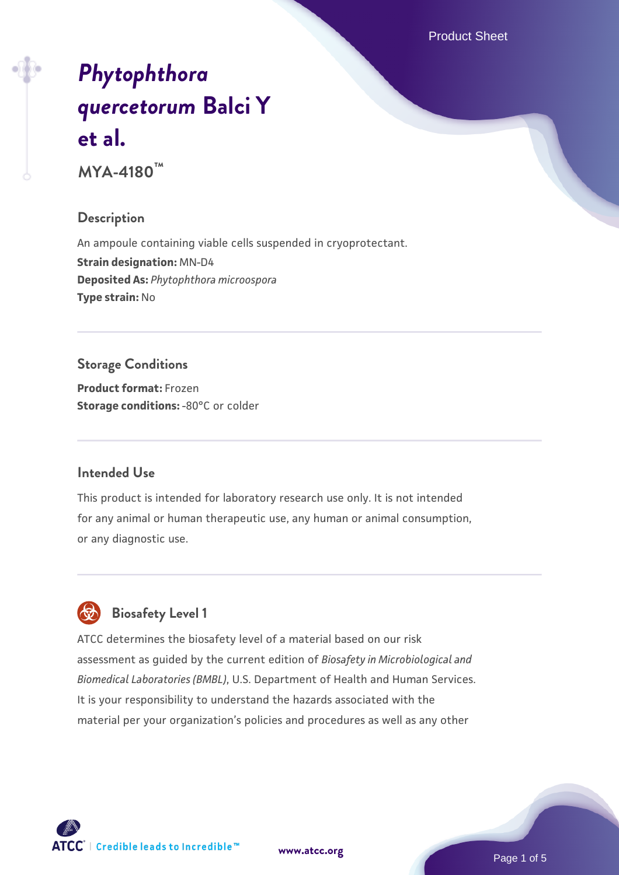Product Sheet

# *[Phytophthora](https://www.atcc.org/products/mya-4180) [quercetorum](https://www.atcc.org/products/mya-4180)* **[Balci Y](https://www.atcc.org/products/mya-4180) [et al.](https://www.atcc.org/products/mya-4180)**

**MYA-4180™**

## **Description**

An ampoule containing viable cells suspended in cryoprotectant. **Strain designation:** MN-D4 **Deposited As:** *Phytophthora microospora* **Type strain:** No

# **Storage Conditions**

**Product format:** Frozen **Storage conditions: -80°C** or colder

## **Intended Use**

This product is intended for laboratory research use only. It is not intended for any animal or human therapeutic use, any human or animal consumption, or any diagnostic use.



# **Biosafety Level 1**

ATCC determines the biosafety level of a material based on our risk assessment as guided by the current edition of *Biosafety in Microbiological and Biomedical Laboratories (BMBL)*, U.S. Department of Health and Human Services. It is your responsibility to understand the hazards associated with the material per your organization's policies and procedures as well as any other

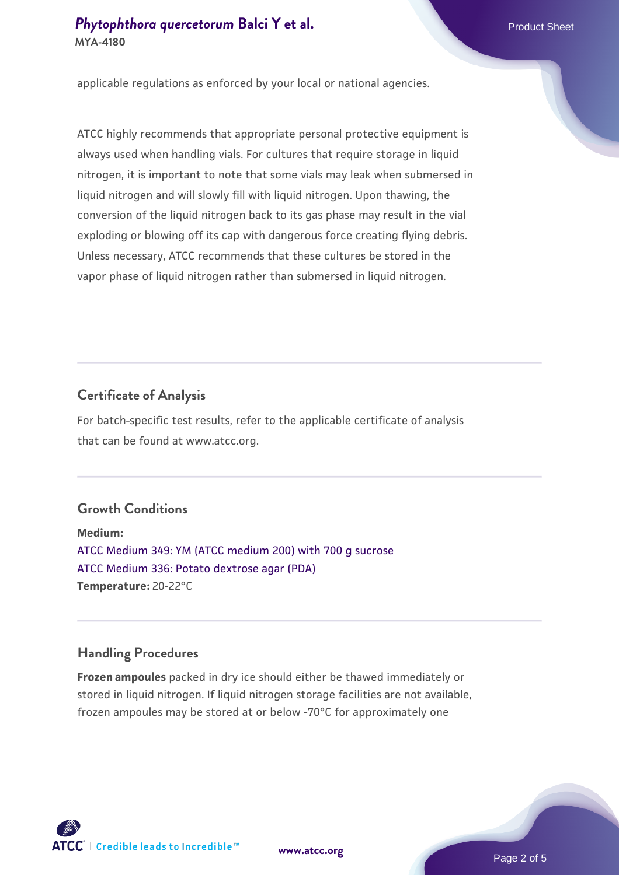# **[Phytophthora quercetorum](https://www.atcc.org/products/mya-4180) [Balci Y et al.](https://www.atcc.org/products/mya-4180)** Phytophthora quercetorum Balci Y et al. **MYA-4180**

applicable regulations as enforced by your local or national agencies.

ATCC highly recommends that appropriate personal protective equipment is always used when handling vials. For cultures that require storage in liquid nitrogen, it is important to note that some vials may leak when submersed in liquid nitrogen and will slowly fill with liquid nitrogen. Upon thawing, the conversion of the liquid nitrogen back to its gas phase may result in the vial exploding or blowing off its cap with dangerous force creating flying debris. Unless necessary, ATCC recommends that these cultures be stored in the vapor phase of liquid nitrogen rather than submersed in liquid nitrogen.

## **Certificate of Analysis**

For batch-specific test results, refer to the applicable certificate of analysis that can be found at www.atcc.org.

# **Growth Conditions**

**Medium:**  [ATCC Medium 349: YM \(ATCC medium 200\) with 700 g sucrose](https://www.atcc.org/-/media/product-assets/documents/microbial-media-formulations/3/4/9/atcc-medium-349.pdf?rev=1d4e7b6e8e864e17ba8c15ffec12b694) [ATCC Medium 336: Potato dextrose agar \(PDA\)](https://www.atcc.org/-/media/product-assets/documents/microbial-media-formulations/3/3/6/atcc-medium-336.pdf?rev=d9160ad44d934cd8b65175461abbf3b9) **Temperature:** 20-22°C

#### **Handling Procedures**

**Frozen ampoules** packed in dry ice should either be thawed immediately or stored in liquid nitrogen. If liquid nitrogen storage facilities are not available, frozen ampoules may be stored at or below -70°C for approximately one

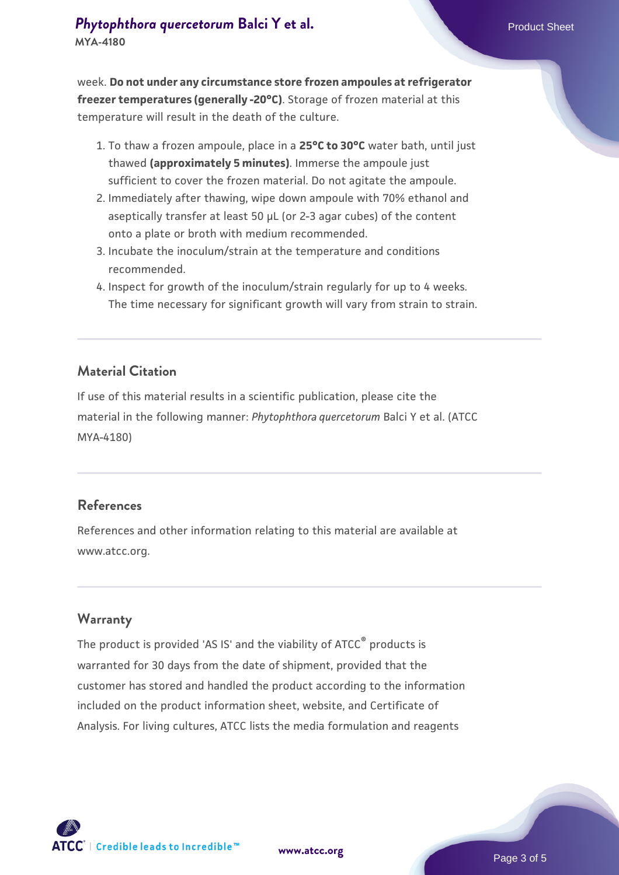week. **Do not under any circumstance store frozen ampoules at refrigerator freezer temperatures (generally -20°C)**. Storage of frozen material at this temperature will result in the death of the culture.

- 1. To thaw a frozen ampoule, place in a **25°C to 30°C** water bath, until just thawed **(approximately 5 minutes)**. Immerse the ampoule just sufficient to cover the frozen material. Do not agitate the ampoule.
- 2. Immediately after thawing, wipe down ampoule with 70% ethanol and aseptically transfer at least 50 µL (or 2-3 agar cubes) of the content onto a plate or broth with medium recommended.
- Incubate the inoculum/strain at the temperature and conditions 3. recommended.
- 4. Inspect for growth of the inoculum/strain regularly for up to 4 weeks. The time necessary for significant growth will vary from strain to strain.

## **Material Citation**

If use of this material results in a scientific publication, please cite the material in the following manner: *Phytophthora quercetorum* Balci Y et al. (ATCC MYA-4180)

#### **References**

References and other information relating to this material are available at www.atcc.org.

#### **Warranty**

The product is provided 'AS IS' and the viability of ATCC® products is warranted for 30 days from the date of shipment, provided that the customer has stored and handled the product according to the information included on the product information sheet, website, and Certificate of Analysis. For living cultures, ATCC lists the media formulation and reagents



**[www.atcc.org](http://www.atcc.org)**

Page 3 of 5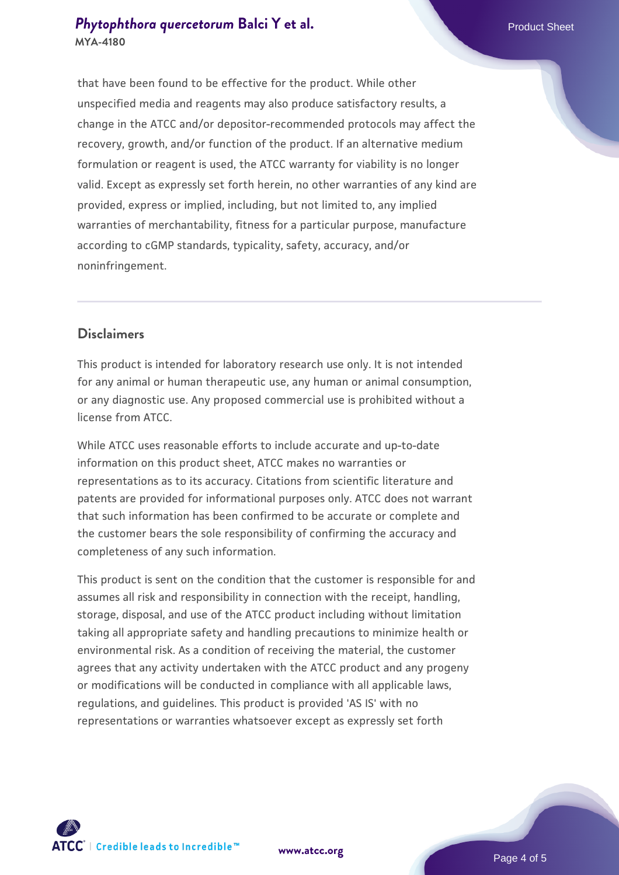that have been found to be effective for the product. While other unspecified media and reagents may also produce satisfactory results, a change in the ATCC and/or depositor-recommended protocols may affect the recovery, growth, and/or function of the product. If an alternative medium formulation or reagent is used, the ATCC warranty for viability is no longer valid. Except as expressly set forth herein, no other warranties of any kind are provided, express or implied, including, but not limited to, any implied warranties of merchantability, fitness for a particular purpose, manufacture according to cGMP standards, typicality, safety, accuracy, and/or noninfringement.

#### **Disclaimers**

This product is intended for laboratory research use only. It is not intended for any animal or human therapeutic use, any human or animal consumption, or any diagnostic use. Any proposed commercial use is prohibited without a license from ATCC.

While ATCC uses reasonable efforts to include accurate and up-to-date information on this product sheet, ATCC makes no warranties or representations as to its accuracy. Citations from scientific literature and patents are provided for informational purposes only. ATCC does not warrant that such information has been confirmed to be accurate or complete and the customer bears the sole responsibility of confirming the accuracy and completeness of any such information.

This product is sent on the condition that the customer is responsible for and assumes all risk and responsibility in connection with the receipt, handling, storage, disposal, and use of the ATCC product including without limitation taking all appropriate safety and handling precautions to minimize health or environmental risk. As a condition of receiving the material, the customer agrees that any activity undertaken with the ATCC product and any progeny or modifications will be conducted in compliance with all applicable laws, regulations, and guidelines. This product is provided 'AS IS' with no representations or warranties whatsoever except as expressly set forth



**[www.atcc.org](http://www.atcc.org)**

Page 4 of 5